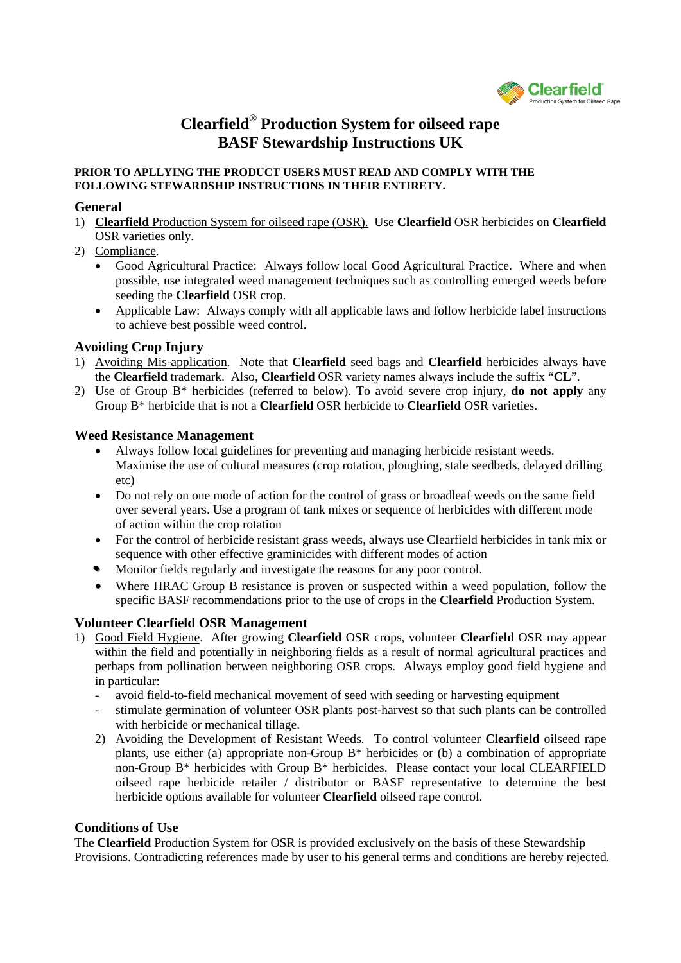

# **Clearfield® Production System for oilseed rape BASF Stewardship Instructions UK**

#### **PRIOR TO APLLYING THE PRODUCT USERS MUST READ AND COMPLY WITH THE FOLLOWING STEWARDSHIP INSTRUCTIONS IN THEIR ENTIRETY.**

#### **General**

- 1) **Clearfield** Production System for oilseed rape (OSR). Use **Clearfield** OSR herbicides on **Clearfield** OSR varieties only.
- 2) Compliance.
	- Good Agricultural Practice: Always follow local Good Agricultural Practice. Where and when possible, use integrated weed management techniques such as controlling emerged weeds before seeding the **Clearfield** OSR crop.
	- Applicable Law: Always comply with all applicable laws and follow herbicide label instructions to achieve best possible weed control.

## **Avoiding Crop Injury**

- 1) Avoiding Mis-application. Note that **Clearfield** seed bags and **Clearfield** herbicides always have the **Clearfield** trademark. Also, **Clearfield** OSR variety names always include the suffix "**CL**".
- 2) Use of Group B\* herbicides (referred to below). To avoid severe crop injury, **do not apply** any Group B\* herbicide that is not a **Clearfield** OSR herbicide to **Clearfield** OSR varieties.

## **Weed Resistance Management**

- Always follow local guidelines for preventing and managing herbicide resistant weeds. Maximise the use of cultural measures (crop rotation, ploughing, stale seedbeds, delayed drilling etc)
- Do not rely on one mode of action for the control of grass or broadleaf weeds on the same field over several years. Use a program of tank mixes or sequence of herbicides with different mode of action within the crop rotation
- For the control of herbicide resistant grass weeds, always use Clearfield herbicides in tank mix or sequence with other effective graminicides with different modes of action
- Monitor fields regularly and investigate the reasons for any poor control.
- Where HRAC Group B resistance is proven or suspected within a weed population, follow the specific BASF recommendations prior to the use of crops in the **Clearfield** Production System.

## **Volunteer Clearfield OSR Management**

- 1) Good Field Hygiene. After growing **Clearfield** OSR crops, volunteer **Clearfield** OSR may appear within the field and potentially in neighboring fields as a result of normal agricultural practices and perhaps from pollination between neighboring OSR crops. Always employ good field hygiene and in particular:
	- avoid field-to-field mechanical movement of seed with seeding or harvesting equipment
	- stimulate germination of volunteer OSR plants post-harvest so that such plants can be controlled with herbicide or mechanical tillage.
	- 2) Avoiding the Development of Resistant Weeds. To control volunteer **Clearfield** oilseed rape plants, use either (a) appropriate non-Group B\* herbicides or (b) a combination of appropriate non-Group B\* herbicides with Group B\* herbicides. Please contact your local CLEARFIELD oilseed rape herbicide retailer / distributor or BASF representative to determine the best herbicide options available for volunteer **Clearfield** oilseed rape control.

## **Conditions of Use**

The **Clearfield** Production System for OSR is provided exclusively on the basis of these Stewardship Provisions. Contradicting references made by user to his general terms and conditions are hereby rejected.